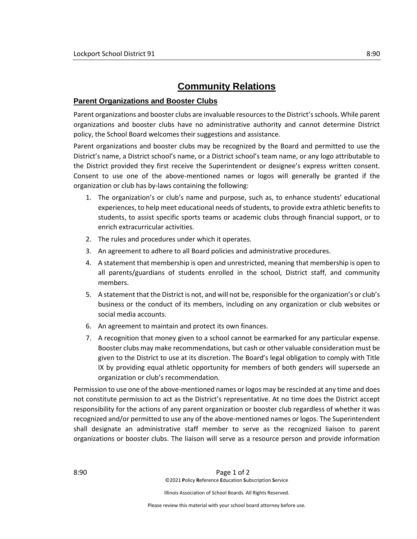## **Community Relations**

## **Parent Organizations and Booster Clubs**

Parent organizations and booster clubs are invaluable resources to the District's schools. While parent organizations and booster clubs have no administrative authority and cannot determine District policy, the School Board welcomes their suggestions and assistance.

Parent organizations and booster clubs may be recognized by the Board and permitted to use the District's name, a District school's name, or a District school's team name, or any logo attributable to the District provided they first receive the Superintendent or designee's express written consent. Consent to use one of the above-mentioned names or logos will generally be granted if the organization or club has by-laws containing the following:

- 1. The organization's or club's name and purpose, such as, to enhance students' educational experiences, to help meet educational needs of students, to provide extra athletic benefits to students, to assist specific sports teams or academic clubs through financial support, or to enrich extracurricular activities.
- 2. The rules and procedures under which it operates.
- 3. An agreement to adhere to all Board policies and administrative procedures.
- 4. A statement that membership is open and unrestricted, meaning that membership is open to all parents/guardians of students enrolled in the school, District staff, and community members.
- 5. A statement that the District is not, and will not be, responsible for the organization's or club's business or the conduct of its members, including on any organization or club websites or social media accounts.
- 6. An agreement to maintain and protect its own finances.
- 7. A recognition that money given to a school cannot be earmarked for any particular expense. Booster clubs may make recommendations, but cash or other valuable consideration must be given to the District to use at its discretion. The Board's legal obligation to comply with Title IX by providing equal athletic opportunity for members of both genders will supersede an organization or club's recommendation.

Permission to use one of the above-mentioned names or logos may be rescinded at any time and does not constitute permission to act as the District's representative. At no time does the District accept responsibility for the actions of any parent organization or booster club regardless of whether it was recognized and/or permitted to use any of the above-mentioned names or logos. The Superintendent shall designate an administrative staff member to serve as the recognized liaison to parent organizations or booster clubs. The liaison will serve as a resource person and provide information